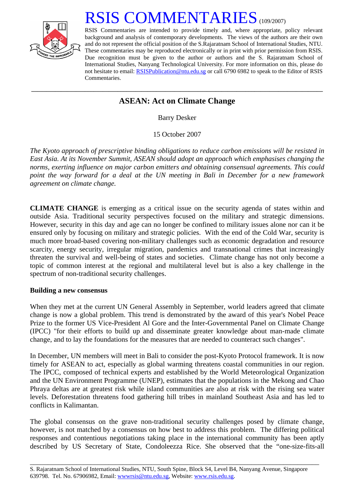

# RSIS COMMENTARIES<sup>(109/2007)</sup>

RSIS Commentaries are intended to provide timely and, where appropriate, policy relevant background and analysis of contemporary developments. The views of the authors are their own and do not represent the official position of the S.Rajaratnam School of International Studies, NTU. These commentaries may be reproduced electronically or in print with prior permission from RSIS. Due recognition must be given to the author or authors and the S. Rajaratnam School of International Studies, Nanyang Technological University. For more information on this, please do not hesitate to email: [RSISPublication@ntu.edu.sg](mailto:RSISPublication@ntu.edu.sg) or call 6790 6982 to speak to the Editor of RSIS Commentaries.

## **\_\_\_\_\_\_\_\_\_\_\_\_\_\_\_\_\_\_\_\_\_\_\_\_\_\_\_\_\_\_\_\_\_\_\_\_\_\_\_\_\_\_\_\_\_\_\_\_\_\_\_\_\_\_\_\_\_\_\_\_\_\_\_\_\_\_\_\_\_\_\_\_\_\_\_\_\_\_\_\_\_\_\_\_\_\_\_\_\_\_\_\_\_\_\_\_\_\_ ASEAN: Act on Climate Change**

Barry Desker

15 October 2007

*The Kyoto approach of prescriptive binding obligations to reduce carbon emissions will be resisted in East Asia. At its November Summit, ASEAN should adopt an approach which emphasises changing the norms, exerting influence on major carbon emitters and obtaining consensual agreements. This could point the way forward for a deal at the UN meeting in Bali in December for a new framework agreement on climate change.* 

**CLIMATE CHANGE** is emerging as a critical issue on the security agenda of states within and outside Asia. Traditional security perspectives focused on the military and strategic dimensions. However, security in this day and age can no longer be confined to military issues alone nor can it be ensured only by focusing on military and strategic policies. With the end of the Cold War, security is much more broad-based covering non-military challenges such as economic degradation and resource scarcity, energy security, irregular migration, pandemics and transnational crimes that increasingly threaten the survival and well-being of states and societies. Climate change has not only become a topic of common interest at the regional and multilateral level but is also a key challenge in the spectrum of non-traditional security challenges.

### **Building a new consensus**

When they met at the current UN General Assembly in September, world leaders agreed that climate change is now a global problem. This trend is demonstrated by the award of this year's Nobel Peace Prize to the former US Vice-President Al Gore and the Inter-Governmental Panel on Climate Change (IPCC) "for their efforts to build up and disseminate greater knowledge about man-made climate change, and to lay the foundations for the measures that are needed to counteract such changes".

In December, UN members will meet in Bali to consider the post-Kyoto Protocol framework. It is now timely for ASEAN to act, especially as global warming threatens coastal communities in our region. The IPCC, composed of technical experts and established by the World Meteorological Organization and the UN Environment Programme (UNEP), estimates that the populations in the Mekong and Chao Phraya deltas are at greatest risk while island communities are also at risk with the rising sea water levels. Deforestation threatens food gathering hill tribes in mainland Southeast Asia and has led to conflicts in Kalimantan.

The global consensus on the grave non-traditional security challenges posed by climate change, however, is not matched by a consensus on how best to address this problem. The differing political responses and contentious negotiations taking place in the international community has been aptly described by US Secretary of State, Condoleezza Rice. She observed that the "one-size-fits-all

\_\_\_\_\_\_\_\_\_\_\_\_\_\_\_\_\_\_\_\_\_\_\_\_\_\_\_\_\_\_\_\_\_\_\_\_\_\_\_\_\_\_\_\_\_\_\_\_\_\_\_\_\_\_\_\_\_\_\_\_\_\_\_\_\_\_\_\_\_\_\_\_\_\_\_\_\_\_\_\_\_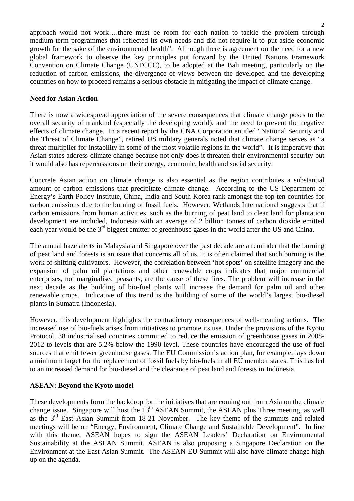approach would not work….there must be room for each nation to tackle the problem through medium-term programmes that reflected its own needs and did not require it to put aside economic growth for the sake of the environmental health". Although there is agreement on the need for a new global framework to observe the key principles put forward by the United Nations Framework Convention on Climate Change (UNFCCC), to be adopted at the Bali meeting, particularly on the reduction of carbon emissions, the divergence of views between the developed and the developing countries on how to proceed remains a serious obstacle in mitigating the impact of climate change.

#### **Need for Asian Action**

There is now a widespread appreciation of the severe consequences that climate change poses to the overall security of mankind (especially the developing world), and the need to prevent the negative effects of climate change. In a recent report by the CNA Corporation entitled "National Security and the Threat of Climate Change", retired US military generals noted that climate change serves as "a threat multiplier for instability in some of the most volatile regions in the world". It is imperative that Asian states address climate change because not only does it threaten their environmental security but it would also has repercussions on their energy, economic, health and social security.

Concrete Asian action on climate change is also essential as the region contributes a substantial amount of carbon emissions that precipitate climate change. According to the US Department of Energy's Earth Policy Institute, China, India and South Korea rank amongst the top ten countries for carbon emissions due to the burning of fossil fuels. However, Wetlands International suggests that if carbon emissions from human activities, such as the burning of peat land to clear land for plantation development are included, Indonesia with an average of 2 billion tonnes of carbon dioxide emitted each year would be the 3<sup>rd</sup> biggest emitter of greenhouse gases in the world after the US and China.

The annual haze alerts in Malaysia and Singapore over the past decade are a reminder that the burning of peat land and forests is an issue that concerns all of us. It is often claimed that such burning is the work of shifting cultivators. However, the correlation between 'hot spots' on satellite imagery and the expansion of palm oil plantations and other renewable crops indicates that major commercial enterprises, not marginalised peasants, are the cause of these fires. The problem will increase in the next decade as the building of bio-fuel plants will increase the demand for palm oil and other renewable crops. Indicative of this trend is the building of some of the world's largest bio-diesel plants in Sumatra (Indonesia).

However, this development highlights the contradictory consequences of well-meaning actions. The increased use of bio-fuels arises from initiatives to promote its use. Under the provisions of the Kyoto Protocol, 38 industrialised countries committed to reduce the emission of greenhouse gases in 2008- 2012 to levels that are 5.2% below the 1990 level. These countries have encouraged the use of fuel sources that emit fewer greenhouse gases. The EU Commission's action plan, for example, lays down a minimum target for the replacement of fossil fuels by bio-fuels in all EU member states. This has led to an increased demand for bio-diesel and the clearance of peat land and forests in Indonesia.

### **ASEAN: Beyond the Kyoto model**

These developments form the backdrop for the initiatives that are coming out from Asia on the climate change issue. Singapore will host the 13<sup>th</sup> ASEAN Summit, the ASEAN plus Three meeting, as well as the  $3<sup>rd</sup>$  East Asian Summit from 18-21 November. The key theme of the summits and related meetings will be on "Energy, Environment, Climate Change and Sustainable Development". In line with this theme, ASEAN hopes to sign the ASEAN Leaders' Declaration on Environmental Sustainability at the ASEAN Summit. ASEAN is also proposing a Singapore Declaration on the Environment at the East Asian Summit. The ASEAN-EU Summit will also have climate change high up on the agenda.